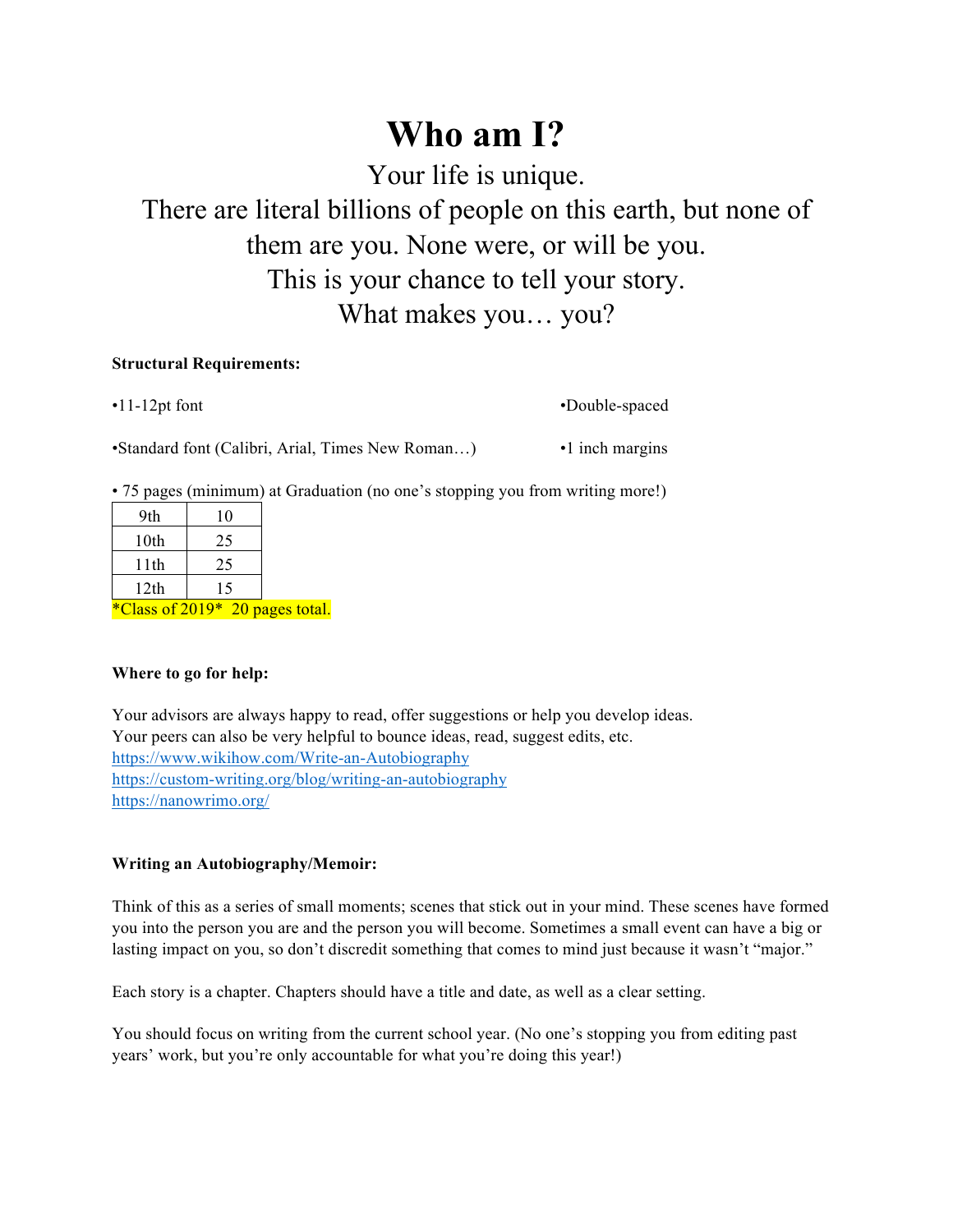## **Who am I?**

Your life is unique.

There are literal billions of people on this earth, but none of them are you. None were, or will be you. This is your chance to tell your story. What makes you… you?

## **Structural Requirements:**

•11-12pt font •Double-spaced

•Standard font (Calibri, Arial, Times New Roman...) • 1 inch margins

• 75 pages (minimum) at Graduation (no one's stopping you from writing more!)

| 9th  | 10 |
|------|----|
| 10th | 25 |
| 11th | 25 |
| 12th | 15 |
|      |    |

\*Class of 2019\* 20 pages total.

## **Where to go for help:**

Your advisors are always happy to read, offer suggestions or help you develop ideas. Your peers can also be very helpful to bounce ideas, read, suggest edits, etc. https://www.wikihow.com/Write-an-Autobiography https://custom-writing.org/blog/writing-an-autobiography https://nanowrimo.org/

## **Writing an Autobiography/Memoir:**

Think of this as a series of small moments; scenes that stick out in your mind. These scenes have formed you into the person you are and the person you will become. Sometimes a small event can have a big or lasting impact on you, so don't discredit something that comes to mind just because it wasn't "major."

Each story is a chapter. Chapters should have a title and date, as well as a clear setting.

You should focus on writing from the current school year. (No one's stopping you from editing past years' work, but you're only accountable for what you're doing this year!)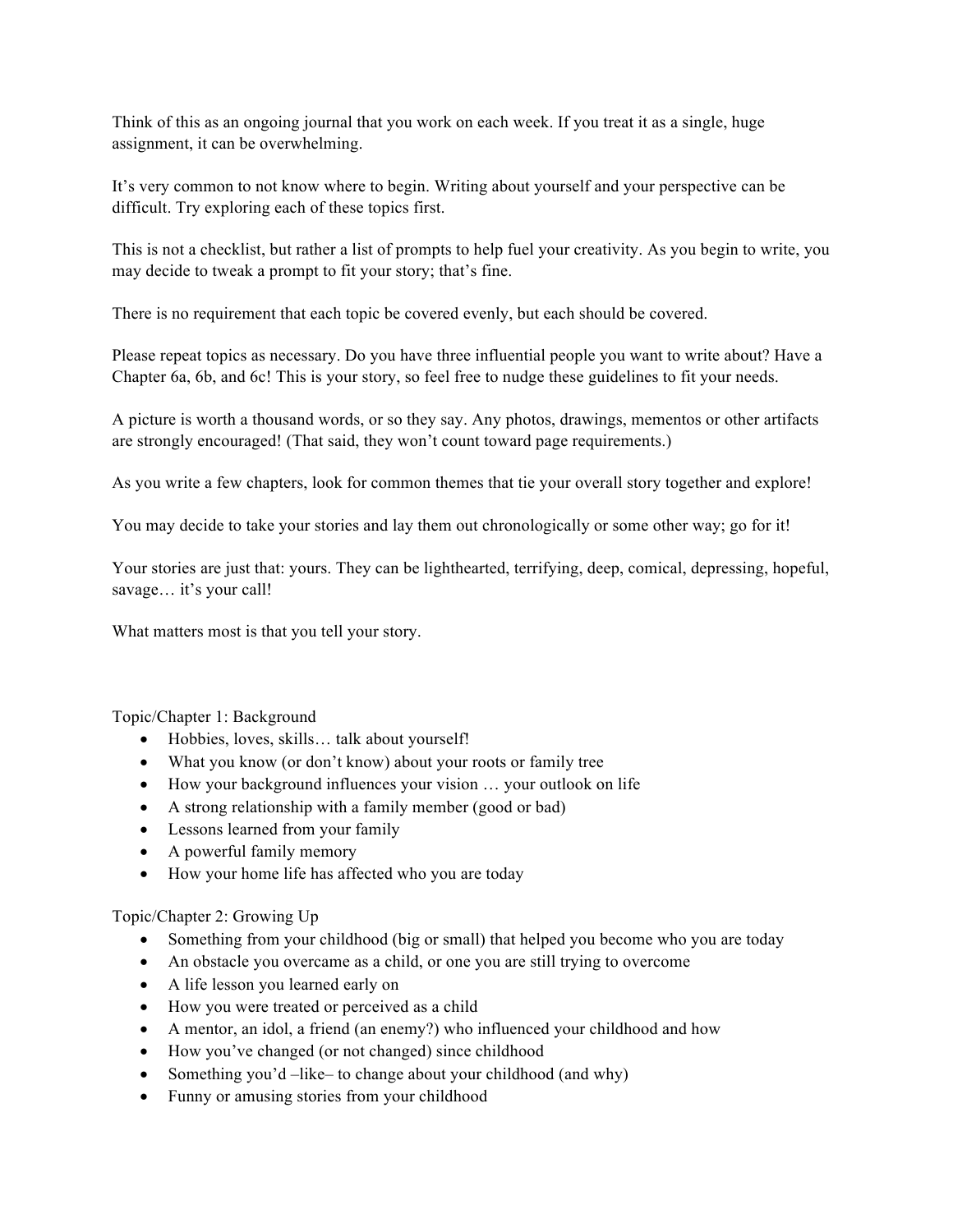Think of this as an ongoing journal that you work on each week. If you treat it as a single, huge assignment, it can be overwhelming.

It's very common to not know where to begin. Writing about yourself and your perspective can be difficult. Try exploring each of these topics first.

This is not a checklist, but rather a list of prompts to help fuel your creativity. As you begin to write, you may decide to tweak a prompt to fit your story; that's fine.

There is no requirement that each topic be covered evenly, but each should be covered.

Please repeat topics as necessary. Do you have three influential people you want to write about? Have a Chapter 6a, 6b, and 6c! This is your story, so feel free to nudge these guidelines to fit your needs.

A picture is worth a thousand words, or so they say. Any photos, drawings, mementos or other artifacts are strongly encouraged! (That said, they won't count toward page requirements.)

As you write a few chapters, look for common themes that tie your overall story together and explore!

You may decide to take your stories and lay them out chronologically or some other way; go for it!

Your stories are just that: yours. They can be lighthearted, terrifying, deep, comical, depressing, hopeful, savage... it's your call!

What matters most is that you tell your story.

Topic/Chapter 1: Background

- Hobbies, loves, skills... talk about yourself!
- What you know (or don't know) about your roots or family tree
- How your background influences your vision ... your outlook on life
- A strong relationship with a family member (good or bad)
- Lessons learned from your family
- A powerful family memory
- How your home life has affected who you are today

Topic/Chapter 2: Growing Up

- Something from your childhood (big or small) that helped you become who you are today
- An obstacle you overcame as a child, or one you are still trying to overcome
- A life lesson you learned early on
- How you were treated or perceived as a child
- A mentor, an idol, a friend (an enemy?) who influenced your childhood and how
- How you've changed (or not changed) since childhood
- Something you'd –like– to change about your childhood (and why)
- Funny or amusing stories from your childhood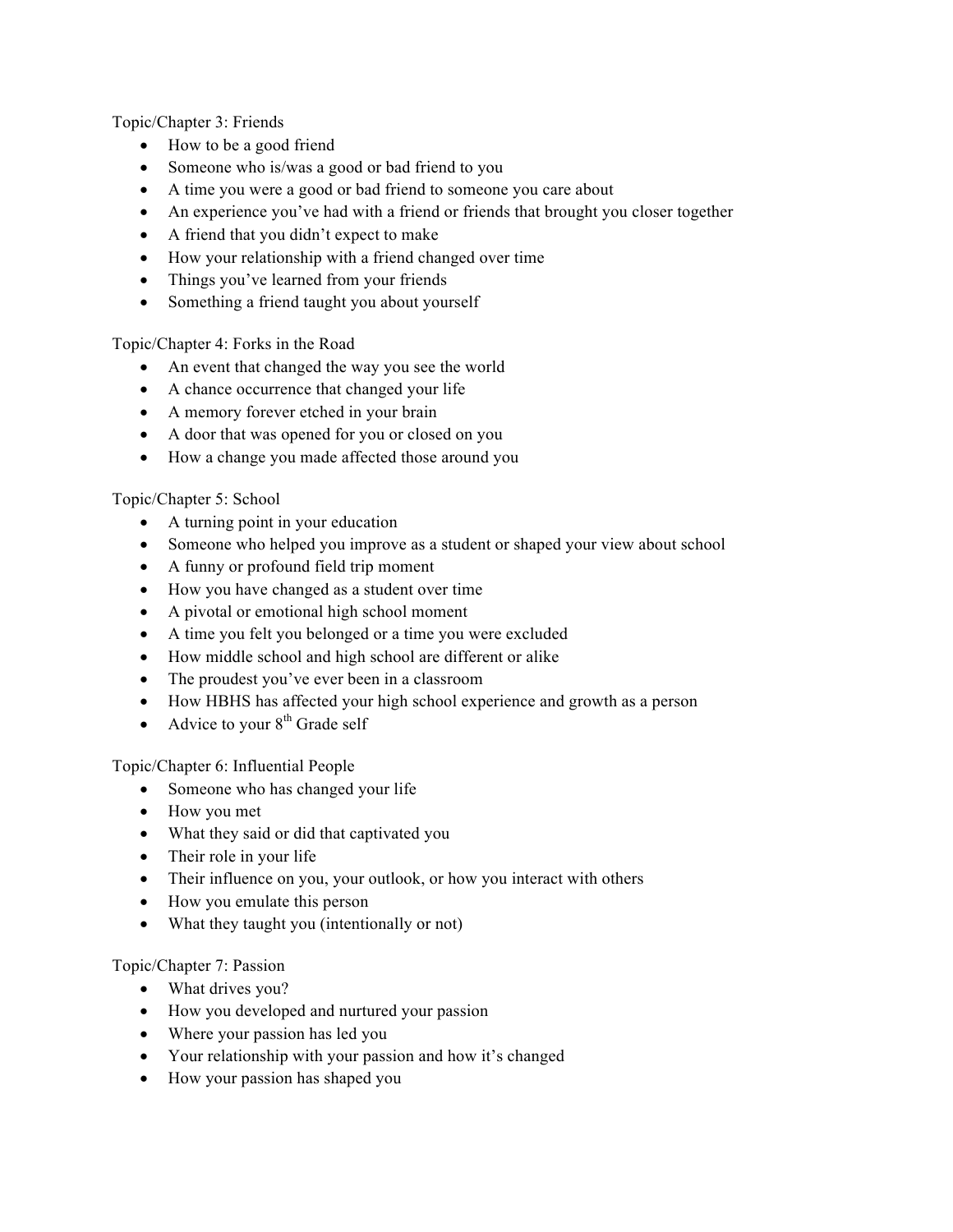Topic/Chapter 3: Friends

- How to be a good friend
- Someone who is/was a good or bad friend to you
- A time you were a good or bad friend to someone you care about
- An experience you've had with a friend or friends that brought you closer together
- A friend that you didn't expect to make
- How your relationship with a friend changed over time
- Things you've learned from your friends
- Something a friend taught you about yourself

Topic/Chapter 4: Forks in the Road

- An event that changed the way you see the world
- A chance occurrence that changed your life
- A memory forever etched in your brain
- A door that was opened for you or closed on you
- How a change you made affected those around you

Topic/Chapter 5: School

- A turning point in your education
- Someone who helped you improve as a student or shaped your view about school
- A funny or profound field trip moment
- How you have changed as a student over time
- A pivotal or emotional high school moment
- A time you felt you belonged or a time you were excluded
- How middle school and high school are different or alike
- The proudest you've ever been in a classroom
- How HBHS has affected your high school experience and growth as a person
- Advice to your  $8<sup>th</sup>$  Grade self

Topic/Chapter 6: Influential People

- Someone who has changed your life
- How you met
- What they said or did that captivated you
- Their role in your life
- Their influence on you, your outlook, or how you interact with others
- How you emulate this person
- What they taught you (intentionally or not)

Topic/Chapter 7: Passion

- What drives you?
- How you developed and nurtured your passion
- Where your passion has led you
- Your relationship with your passion and how it's changed
- How your passion has shaped you